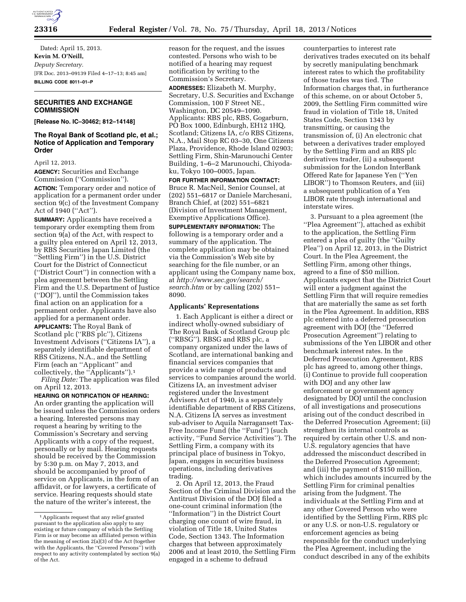

Dated: April 15, 2013. **Kevin M. O'Neill,**  *Deputy Secretary.*  [FR Doc. 2013–09139 Filed 4–17–13; 8:45 am] **BILLING CODE 8011–01–P** 

# **SECURITIES AND EXCHANGE COMMISSION**

**[Release No. IC–30462; 812–14148]** 

# **The Royal Bank of Scotland plc, et al.; Notice of Application and Temporary Order**

April 12, 2013.

**AGENCY:** Securities and Exchange Commission (''Commission'').

**ACTION:** Temporary order and notice of application for a permanent order under section 9(c) of the Investment Company Act of 1940 (''Act'').

**SUMMARY:** Applicants have received a temporary order exempting them from section 9(a) of the Act, with respect to a guilty plea entered on April 12, 2013, by RBS Securities Japan Limited (the ''Settling Firm'') in the U.S. District Court for the District of Connecticut (''District Court'') in connection with a plea agreement between the Settling Firm and the U.S. Department of Justice (''DOJ''), until the Commission takes final action on an application for a permanent order. Applicants have also applied for a permanent order. **APPLICANTS:** The Royal Bank of Scotland plc (''RBS plc''), Citizens Investment Advisors (''Citizens IA''), a separately identifiable department of RBS Citizens, N.A., and the Settling Firm (each an ''Applicant'' and collectively, the "Applicants").<sup>1</sup>

*Filing Date:* The application was filed on April 12, 2013.

**HEARING OR NOTIFICATION OF HEARING:**  An order granting the application will be issued unless the Commission orders a hearing. Interested persons may request a hearing by writing to the Commission's Secretary and serving Applicants with a copy of the request, personally or by mail. Hearing requests should be received by the Commission by 5:30 p.m. on May 7, 2013, and should be accompanied by proof of service on Applicants, in the form of an affidavit, or for lawyers, a certificate of service. Hearing requests should state the nature of the writer's interest, the

reason for the request, and the issues contested. Persons who wish to be notified of a hearing may request notification by writing to the Commission's Secretary.

**ADDRESSES:** Elizabeth M. Murphy, Secretary, U.S. Securities and Exchange Commission, 100 F Street NE., Washington, DC 20549–1090. Applicants: RBS plc, RBS, Gogarburn, PO Box 1000, Edinburgh, EH12 1HQ, Scotland; Citizens IA, c/o RBS Citizens, N.A., Mail Stop RC 03–30, One Citizens Plaza, Providence, Rhode Island 02903; Settling Firm, Shin-Marunouchi Center Building, 1–6–2 Marunouchi, Chiyodaku, Tokyo 100–0005, Japan.

**FOR FURTHER INFORMATION CONTACT:**  Bruce R. MacNeil, Senior Counsel, at (202) 551–6817 or Daniele Marchesani, Branch Chief, at (202) 551–6821 (Division of Investment Management, Exemptive Applications Office).

**SUPPLEMENTARY INFORMATION:** The following is a temporary order and a summary of the application. The complete application may be obtained via the Commission's Web site by searching for the file number, or an applicant using the Company name box, at *[http://www.sec.gov/search/](http://www.sec.gov/search/search.htm) [search.htm](http://www.sec.gov/search/search.htm)* or by calling (202) 551– 8090.

## **Applicants' Representations**

1. Each Applicant is either a direct or indirect wholly-owned subsidiary of The Royal Bank of Scotland Group plc (''RBSG''). RBSG and RBS plc, a company organized under the laws of Scotland, are international banking and financial services companies that provide a wide range of products and services to companies around the world. Citizens IA, an investment adviser registered under the Investment Advisers Act of 1940, is a separately identifiable department of RBS Citizens, N.A. Citizens IA serves as investment sub-adviser to Aquila Narragansett Tax-Free Income Fund (the ''Fund'') (such activity, ''Fund Service Activities''). The Settling Firm, a company with its principal place of business in Tokyo, Japan, engages in securities business operations, including derivatives trading.

2. On April 12, 2013, the Fraud Section of the Criminal Division and the Antitrust Division of the DOJ filed a one-count criminal information (the ''Information'') in the District Court charging one count of wire fraud, in violation of Title 18, United States Code, Section 1343. The Information charges that between approximately 2006 and at least 2010, the Settling Firm engaged in a scheme to defraud

counterparties to interest rate derivatives trades executed on its behalf by secretly manipulating benchmark interest rates to which the profitability of those trades was tied. The Information charges that, in furtherance of this scheme, on or about October 5, 2009, the Settling Firm committed wire fraud in violation of Title 18, United States Code, Section 1343 by transmitting, or causing the transmission of, (i) An electronic chat between a derivatives trader employed by the Settling Firm and an RBS plc derivatives trader, (ii) a subsequent submission for the London InterBank Offered Rate for Japanese Yen (''Yen LIBOR'') to Thomson Reuters, and (iii) a subsequent publication of a Yen LIBOR rate through international and interstate wires.

3. Pursuant to a plea agreement (the ''Plea Agreement''), attached as exhibit to the application, the Settling Firm entered a plea of guilty (the ''Guilty Plea'') on April 12, 2013, in the District Court. In the Plea Agreement, the Settling Firm, among other things, agreed to a fine of \$50 million. Applicants expect that the District Court will enter a judgment against the Settling Firm that will require remedies that are materially the same as set forth in the Plea Agreement. In addition, RBS plc entered into a deferred prosecution agreement with DOJ (the ''Deferred Prosecution Agreement'') relating to submissions of the Yen LIBOR and other benchmark interest rates. In the Deferred Prosecution Agreement, RBS plc has agreed to, among other things, (i) Continue to provide full cooperation with DOJ and any other law enforcement or government agency designated by DOJ until the conclusion of all investigations and prosecutions arising out of the conduct described in the Deferred Prosecution Agreement; (ii) strengthen its internal controls as required by certain other U.S. and non-U.S. regulatory agencies that have addressed the misconduct described in the Deferred Prosecution Agreement; and (iii) the payment of \$150 million, which includes amounts incurred by the Settling Firm for criminal penalties arising from the Judgment. The individuals at the Settling Firm and at any other Covered Person who were identified by the Settling Firm, RBS plc or any U.S. or non-U.S. regulatory or enforcement agencies as being responsible for the conduct underlying the Plea Agreement, including the conduct described in any of the exhibits

<sup>&</sup>lt;sup>1</sup> Applicants request that any relief granted pursuant to the application also apply to any existing or future company of which the Settling Firm is or may become an affiliated person within the meaning of section 2(a)(3) of the Act (together with the Applicants, the ''Covered Persons'') with respect to any activity contemplated by section 9(a) of the Act.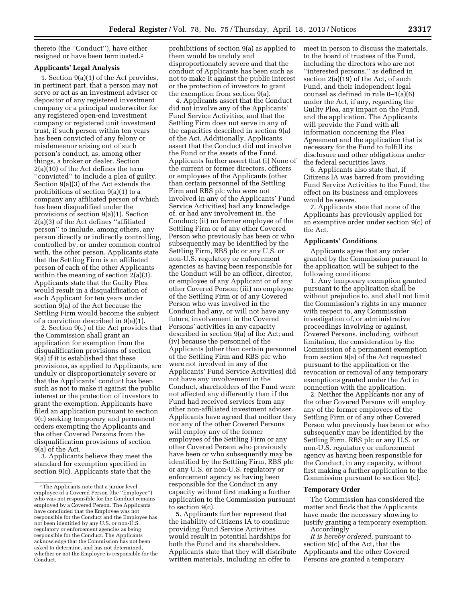thereto (the ''Conduct''), have either resigned or have been terminated.2

# **Applicants' Legal Analysis**

1. Section 9(a)(1) of the Act provides, in pertinent part, that a person may not serve or act as an investment adviser or depositor of any registered investment company or a principal underwriter for any registered open-end investment company or registered unit investment trust, if such person within ten years has been convicted of any felony or misdemeanor arising out of such person's conduct, as, among other things, a broker or dealer. Section 2(a)(10) of the Act defines the term ''convicted'' to include a plea of guilty. Section 9(a)(3) of the Act extends the prohibitions of section 9(a)(1) to a company any affiliated person of which has been disqualified under the provisions of section 9(a)(1). Section 2(a)(3) of the Act defines ''affiliated person'' to include, among others, any person directly or indirectly controlling, controlled by, or under common control with, the other person. Applicants state that the Settling Firm is an affiliated person of each of the other Applicants within the meaning of section 2(a)(3). Applicants state that the Guilty Plea would result in a disqualification of each Applicant for ten years under section 9(a) of the Act because the Settling Firm would become the subject of a conviction described in 9(a)(1).

2. Section 9(c) of the Act provides that the Commission shall grant an application for exemption from the disqualification provisions of section 9(a) if it is established that these provisions, as applied to Applicants, are unduly or disproportionately severe or that the Applicants' conduct has been such as not to make it against the public interest or the protection of investors to grant the exemption. Applicants have filed an application pursuant to section 9(c) seeking temporary and permanent orders exempting the Applicants and the other Covered Persons from the disqualification provisions of section 9(a) of the Act.

3. Applicants believe they meet the standard for exemption specified in section 9(c). Applicants state that the

prohibitions of section 9(a) as applied to them would be unduly and disproportionately severe and that the conduct of Applicants has been such as not to make it against the public interest or the protection of investors to grant the exemption from section 9(a).

4. Applicants assert that the Conduct did not involve any of the Applicants' Fund Service Activities, and that the Settling Firm does not serve in any of the capacities described in section 9(a) of the Act. Additionally, Applicants assert that the Conduct did not involve the Fund or the assets of the Fund. Applicants further assert that (i) None of the current or former directors, officers or employees of the Applicants (other than certain personnel of the Settling Firm and RBS plc who were not involved in any of the Applicants' Fund Service Activities) had any knowledge of, or had any involvement in, the Conduct; (ii) no former employee of the Settling Firm or of any other Covered Person who previously has been or who subsequently may be identified by the Settling Firm, RBS plc or any U.S. or non-U.S. regulatory or enforcement agencies as having been responsible for the Conduct will be an officer, director, or employee of any Applicant or of any other Covered Person; (iii) no employee of the Settling Firm or of any Covered Person who was involved in the Conduct had any, or will not have any future, involvement in the Covered Persons' activities in any capacity described in section 9(a) of the Act; and (iv) because the personnel of the Applicants (other than certain personnel of the Settling Firm and RBS plc who were not involved in any of the Applicants' Fund Service Activities) did not have any involvement in the Conduct, shareholders of the Fund were not affected any differently than if the Fund had received services from any other non-affiliated investment adviser. Applicants have agreed that neither they nor any of the other Covered Persons will employ any of the former employees of the Settling Firm or any other Covered Person who previously have been or who subsequently may be identified by the Settling Firm, RBS plc or any U.S. or non-U.S. regulatory or enforcement agency as having been responsible for the Conduct in any capacity without first making a further application to the Commission pursuant to section 9(c).

5. Applicants further represent that the inability of Citizens IA to continue providing Fund Service Activities would result in potential hardships for both the Fund and its shareholders. Applicants state that they will distribute written materials, including an offer to

meet in person to discuss the materials, to the board of trustees of the Fund, including the directors who are not ''interested persons,'' as defined in section 2(a)(19) of the Act, of such Fund, and their independent legal counsel as defined in rule 0–1(a)(6) under the Act, if any, regarding the Guilty Plea, any impact on the Fund, and the application. The Applicants will provide the Fund with all information concerning the Plea Agreement and the application that is necessary for the Fund to fulfill its disclosure and other obligations under the federal securities laws.

6. Applicants also state that, if Citizens IA was barred from providing Fund Service Activities to the Fund, the effect on its business and employees would be severe.

7. Applicants state that none of the Applicants has previously applied for an exemptive order under section 9(c) of the Act.

## **Applicants' Conditions**

Applicants agree that any order granted by the Commission pursuant to the application will be subject to the following conditions:

1. Any temporary exemption granted pursuant to the application shall be without prejudice to, and shall not limit the Commission's rights in any manner with respect to, any Commission investigation of, or administrative proceedings involving or against, Covered Persons, including, without limitation, the consideration by the Commission of a permanent exemption from section 9(a) of the Act requested pursuant to the application or the revocation or removal of any temporary exemptions granted under the Act in connection with the application.

2. Neither the Applicants nor any of the other Covered Persons will employ any of the former employees of the Settling Firm or of any other Covered Person who previously has been or who subsequently may be identified by the Settling Firm, RBS plc or any U.S. or non-U.S. regulatory or enforcement agency as having been responsible for the Conduct, in any capacity, without first making a further application to the Commission pursuant to section 9(c).

#### **Temporary Order**

The Commission has considered the matter and finds that the Applicants have made the necessary showing to justify granting a temporary exemption. Accordingly

*It is hereby ordered,* pursuant to section 9(c) of the Act, that the Applicants and the other Covered Persons are granted a temporary

<sup>2</sup>The Applicants note that a junior level employee of a Covered Person (the ''Employee'') who was not responsible for the Conduct remains employed by a Covered Person. The Applicants have concluded that the Employee was not responsible for the Conduct and the Employee has not been identified by any U.S. or non-U.S. regulatory or enforcement agencies as being responsible for the Conduct. The Applicants acknowledge that the Commission has not been asked to determine, and has not determined, whether or not the Employee is responsible for the Conduct.